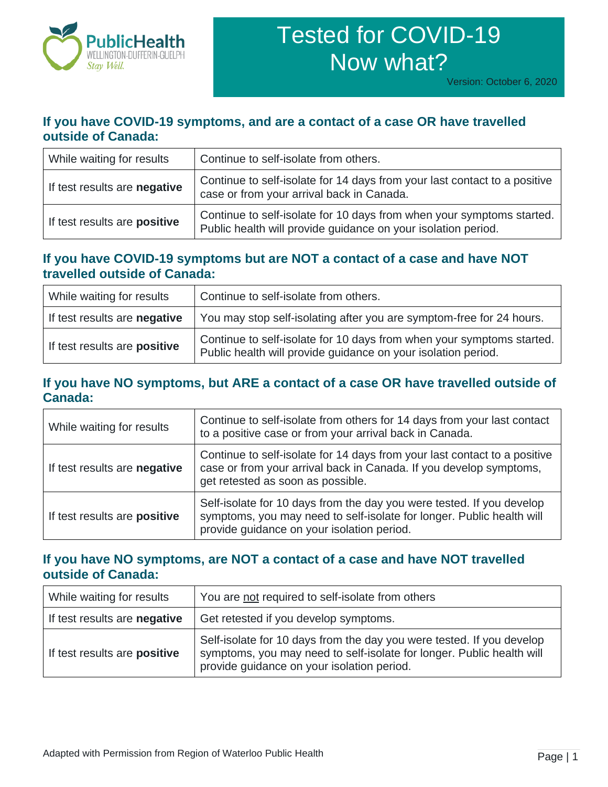

# Tested for COVID-19 Now what?

# **If you have COVID-19 symptoms, and are a contact of a case OR have travelled outside of Canada:**

| While waiting for results    | Continue to self-isolate from others.                                                                                                  |
|------------------------------|----------------------------------------------------------------------------------------------------------------------------------------|
| If test results are negative | Continue to self-isolate for 14 days from your last contact to a positive<br>case or from your arrival back in Canada.                 |
| If test results are positive | Continue to self-isolate for 10 days from when your symptoms started.<br>Public health will provide guidance on your isolation period. |

# **If you have COVID-19 symptoms but are NOT a contact of a case and have NOT travelled outside of Canada:**

| While waiting for results           | Continue to self-isolate from others.                                                                                                  |
|-------------------------------------|----------------------------------------------------------------------------------------------------------------------------------------|
| If test results are negative        | You may stop self-isolating after you are symptom-free for 24 hours.                                                                   |
| If test results are <b>positive</b> | Continue to self-isolate for 10 days from when your symptoms started.<br>Public health will provide guidance on your isolation period. |

# **If you have NO symptoms, but ARE a contact of a case OR have travelled outside of Canada:**

| While waiting for results    | Continue to self-isolate from others for 14 days from your last contact<br>to a positive case or from your arrival back in Canada.                                                           |
|------------------------------|----------------------------------------------------------------------------------------------------------------------------------------------------------------------------------------------|
| If test results are negative | Continue to self-isolate for 14 days from your last contact to a positive<br>case or from your arrival back in Canada. If you develop symptoms,<br>get retested as soon as possible.         |
| If test results are positive | Self-isolate for 10 days from the day you were tested. If you develop<br>symptoms, you may need to self-isolate for longer. Public health will<br>provide guidance on your isolation period. |

# **If you have NO symptoms, are NOT a contact of a case and have NOT travelled outside of Canada:**

| While waiting for results    | You are not required to self-isolate from others                                                                                                                                             |
|------------------------------|----------------------------------------------------------------------------------------------------------------------------------------------------------------------------------------------|
| If test results are negative | Get retested if you develop symptoms.                                                                                                                                                        |
| If test results are positive | Self-isolate for 10 days from the day you were tested. If you develop<br>symptoms, you may need to self-isolate for longer. Public health will<br>provide guidance on your isolation period. |